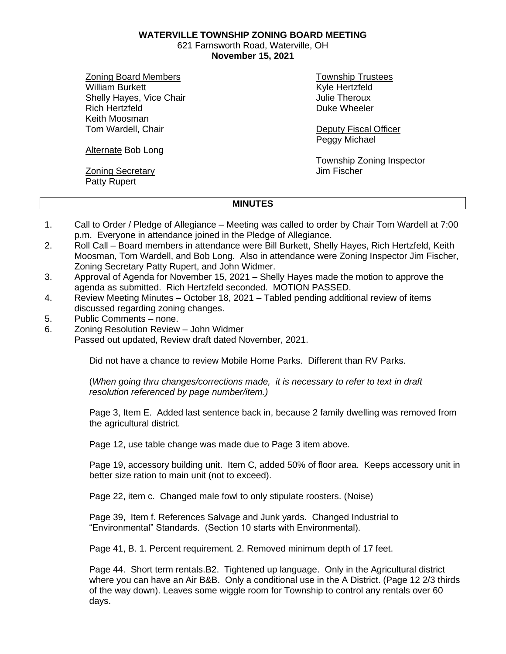**WATERVILLE TOWNSHIP ZONING BOARD MEETING**

621 Farnsworth Road, Waterville, OH **November 15, 2021**

Zoning Board Members William Burkett Shelly Hayes, Vice Chair Rich Hertzfeld Keith Moosman Tom Wardell, Chair

Township Trustees Kyle Hertzfeld Julie Theroux Duke Wheeler

Deputy Fiscal Officer Peggy Michael

Township Zoning Inspector Jim Fischer

## Alternate Bob Long

**Zoning Secretary** Patty Rupert

## **MINUTES**

- 1. Call to Order / Pledge of Allegiance Meeting was called to order by Chair Tom Wardell at 7:00 p.m. Everyone in attendance joined in the Pledge of Allegiance.
- 2. Roll Call Board members in attendance were Bill Burkett, Shelly Hayes, Rich Hertzfeld, Keith Moosman, Tom Wardell, and Bob Long. Also in attendance were Zoning Inspector Jim Fischer, Zoning Secretary Patty Rupert, and John Widmer.
- 3. Approval of Agenda for November 15, 2021 Shelly Hayes made the motion to approve the agenda as submitted. Rich Hertzfeld seconded. MOTION PASSED.
- 4. Review Meeting Minutes October 18, 2021 Tabled pending additional review of items discussed regarding zoning changes.
- 5. Public Comments none.
- 6. Zoning Resolution Review John Widmer Passed out updated, Review draft dated November, 2021.

Did not have a chance to review Mobile Home Parks. Different than RV Parks.

(*When going thru changes/corrections made, it is necessary to refer to text in draft resolution referenced by page number/item.)*

Page 3, Item E. Added last sentence back in, because 2 family dwelling was removed from the agricultural district.

Page 12, use table change was made due to Page 3 item above.

Page 19, accessory building unit. Item C, added 50% of floor area. Keeps accessory unit in better size ration to main unit (not to exceed).

Page 22, item c. Changed male fowl to only stipulate roosters. (Noise)

Page 39, Item f. References Salvage and Junk yards. Changed Industrial to "Environmental" Standards. (Section 10 starts with Environmental).

Page 41, B. 1. Percent requirement. 2. Removed minimum depth of 17 feet.

Page 44. Short term rentals.B2. Tightened up language. Only in the Agricultural district where you can have an Air B&B. Only a conditional use in the A District. (Page 12 2/3 thirds of the way down). Leaves some wiggle room for Township to control any rentals over 60 days.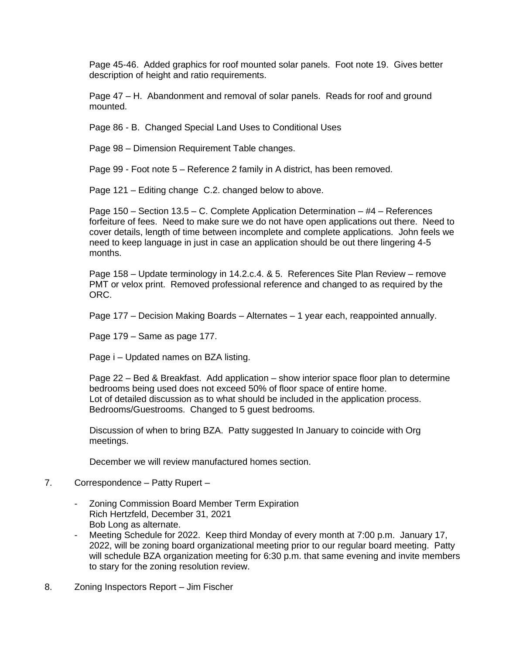Page 45-46. Added graphics for roof mounted solar panels. Foot note 19. Gives better description of height and ratio requirements.

Page 47 – H. Abandonment and removal of solar panels. Reads for roof and ground mounted.

Page 86 - B. Changed Special Land Uses to Conditional Uses

Page 98 – Dimension Requirement Table changes.

Page 99 - Foot note 5 – Reference 2 family in A district, has been removed.

Page 121 – Editing change C.2. changed below to above.

Page 150 – Section 13.5 – C. Complete Application Determination – #4 – References forfeiture of fees. Need to make sure we do not have open applications out there. Need to cover details, length of time between incomplete and complete applications. John feels we need to keep language in just in case an application should be out there lingering 4-5 months.

Page 158 – Update terminology in 14.2.c.4. & 5. References Site Plan Review – remove PMT or velox print. Removed professional reference and changed to as required by the ORC.

Page 177 – Decision Making Boards – Alternates – 1 year each, reappointed annually.

Page 179 – Same as page 177.

Page i – Updated names on BZA listing.

Page 22 – Bed & Breakfast. Add application – show interior space floor plan to determine bedrooms being used does not exceed 50% of floor space of entire home. Lot of detailed discussion as to what should be included in the application process. Bedrooms/Guestrooms. Changed to 5 guest bedrooms.

 Discussion of when to bring BZA. Patty suggested In January to coincide with Org meetings.

December we will review manufactured homes section.

- 7. Correspondence Patty Rupert
	- Zoning Commission Board Member Term Expiration Rich Hertzfeld, December 31, 2021 Bob Long as alternate.
	- Meeting Schedule for 2022. Keep third Monday of every month at 7:00 p.m. January 17, 2022, will be zoning board organizational meeting prior to our regular board meeting. Patty will schedule BZA organization meeting for 6:30 p.m. that same evening and invite members to stary for the zoning resolution review.
- 8. Zoning Inspectors Report Jim Fischer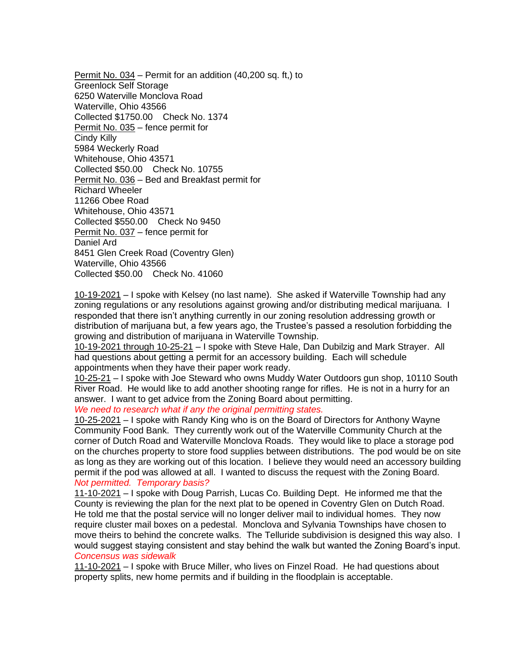Permit No. 034 – Permit for an addition (40,200 sq. ft,) to Greenlock Self Storage 6250 Waterville Monclova Road Waterville, Ohio 43566 Collected \$1750.00 Check No. 1374 Permit No. 035 – fence permit for Cindy Killy 5984 Weckerly Road Whitehouse, Ohio 43571 Collected \$50.00 Check No. 10755 Permit No. 036 – Bed and Breakfast permit for Richard Wheeler 11266 Obee Road Whitehouse, Ohio 43571 Collected \$550.00 Check No 9450 Permit No. 037 – fence permit for Daniel Ard 8451 Glen Creek Road (Coventry Glen) Waterville, Ohio 43566 Collected \$50.00 Check No. 41060

10-19-2021 – I spoke with Kelsey (no last name). She asked if Waterville Township had any zoning regulations or any resolutions against growing and/or distributing medical marijuana. I responded that there isn't anything currently in our zoning resolution addressing growth or distribution of marijuana but, a few years ago, the Trustee's passed a resolution forbidding the growing and distribution of marijuana in Waterville Township.

10-19-2021 through 10-25-21 – I spoke with Steve Hale, Dan Dubilzig and Mark Strayer. All had questions about getting a permit for an accessory building. Each will schedule appointments when they have their paper work ready.

10-25-21 – I spoke with Joe Steward who owns Muddy Water Outdoors gun shop, 10110 South River Road. He would like to add another shooting range for rifles. He is not in a hurry for an answer. I want to get advice from the Zoning Board about permitting.

*We need to research what if any the original permitting states.*

10-25-2021 – I spoke with Randy King who is on the Board of Directors for Anthony Wayne Community Food Bank. They currently work out of the Waterville Community Church at the corner of Dutch Road and Waterville Monclova Roads. They would like to place a storage pod on the churches property to store food supplies between distributions. The pod would be on site as long as they are working out of this location. I believe they would need an accessory building permit if the pod was allowed at all. I wanted to discuss the request with the Zoning Board. *Not permitted. Temporary basis?*

11-10-2021 – I spoke with Doug Parrish, Lucas Co. Building Dept. He informed me that the County is reviewing the plan for the next plat to be opened in Coventry Glen on Dutch Road. He told me that the postal service will no longer deliver mail to individual homes. They now require cluster mail boxes on a pedestal. Monclova and Sylvania Townships have chosen to move theirs to behind the concrete walks. The Telluride subdivision is designed this way also. I would suggest staying consistent and stay behind the walk but wanted the Zoning Board's input. *Concensus was sidewalk*

11-10-2021 – I spoke with Bruce Miller, who lives on Finzel Road. He had questions about property splits, new home permits and if building in the floodplain is acceptable.